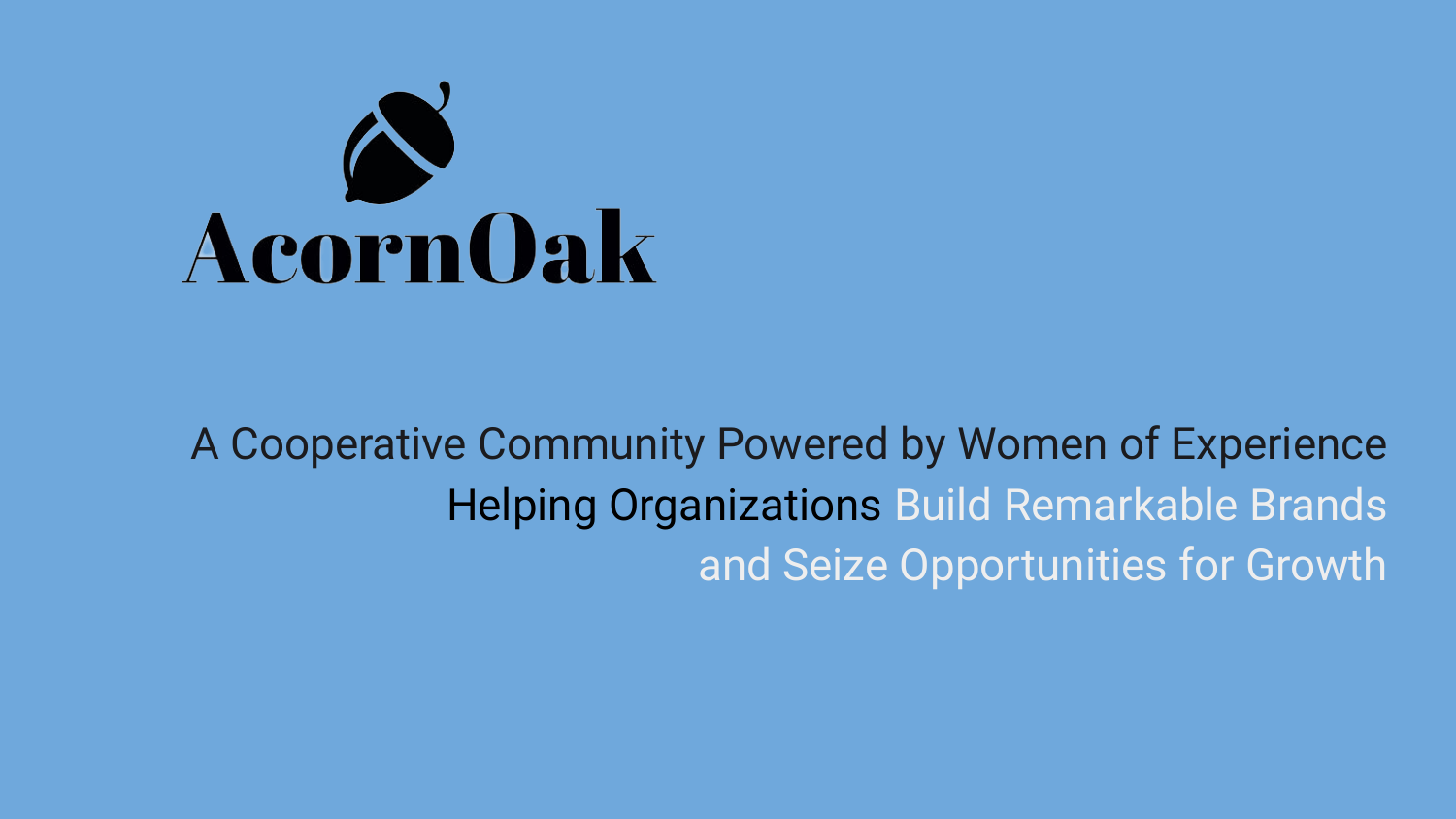

A Cooperative Community Powered by Women of Experience Helping Organizations Build Remarkable Brands and Seize Opportunities for Growth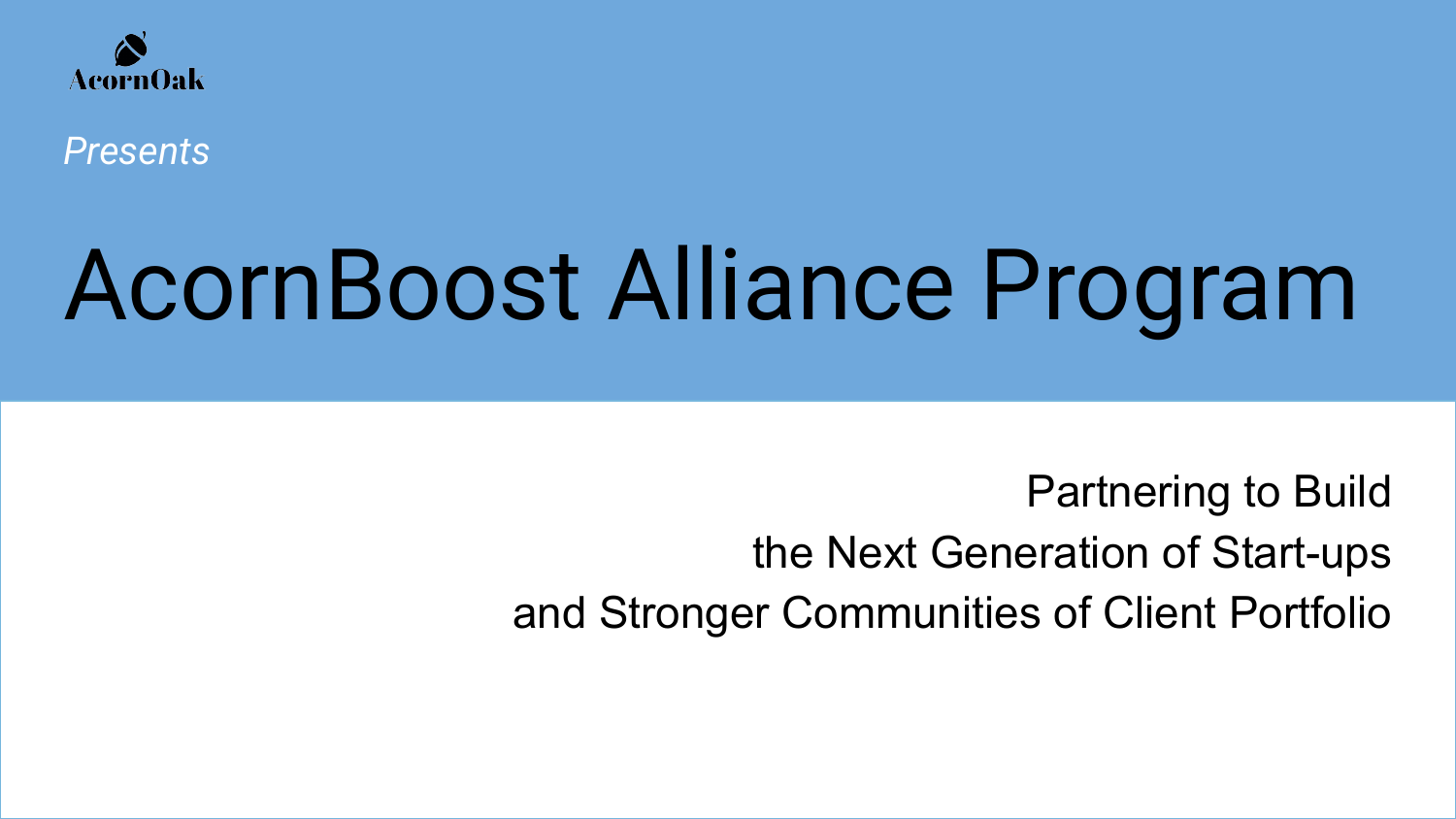

*Presents*

# AcornBoost Alliance Program

Partnering to Build the Next Generation of Start-ups and Stronger Communities of Client Portfolio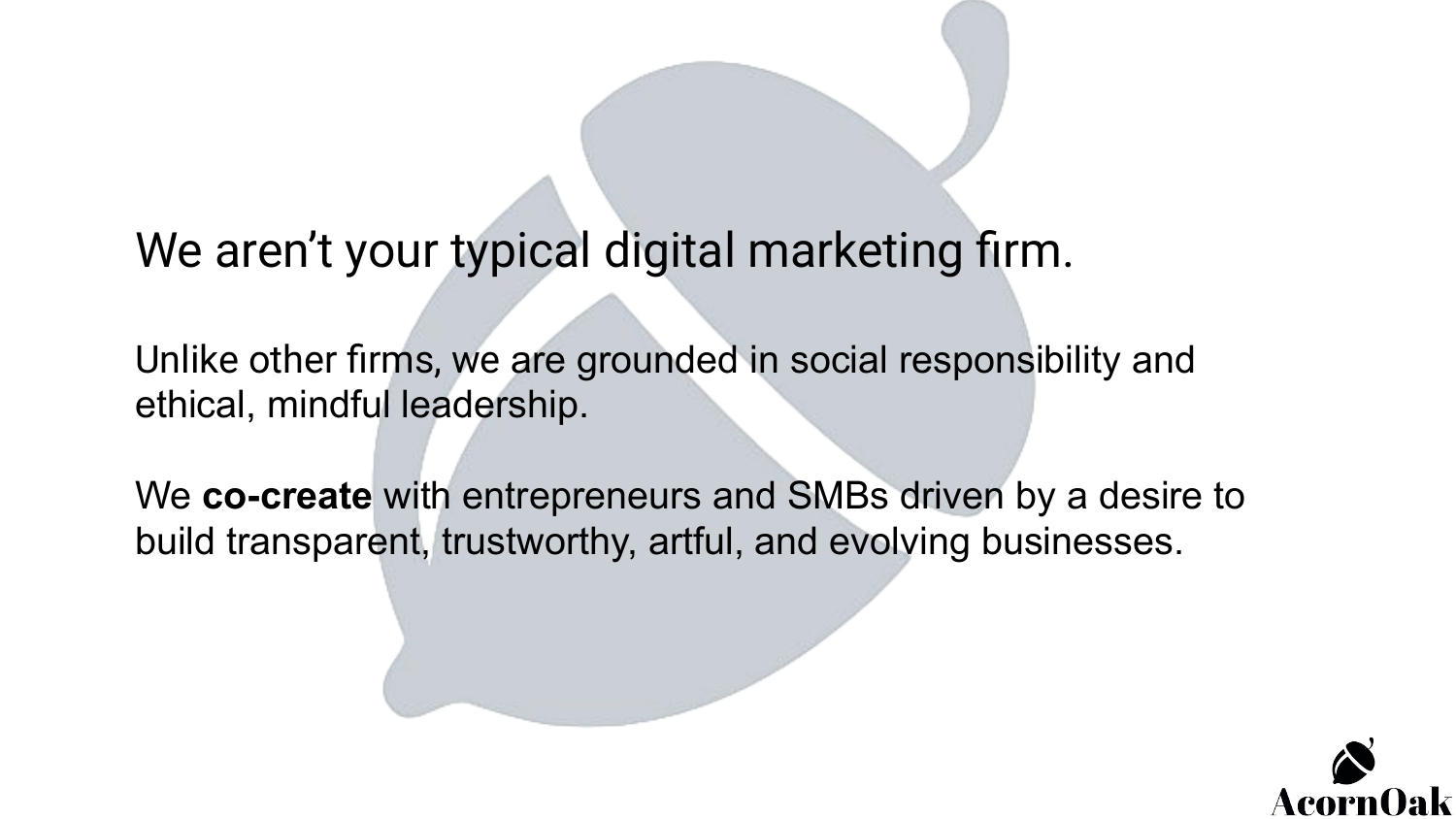### We aren't your typical digital marketing firm.

Unlike other firms, we are grounded in social responsibility and ethical, mindful leadership.

We **co-create** with entrepreneurs and SMBs driven by a desire to build transparent, trustworthy, artful, and evolving businesses.

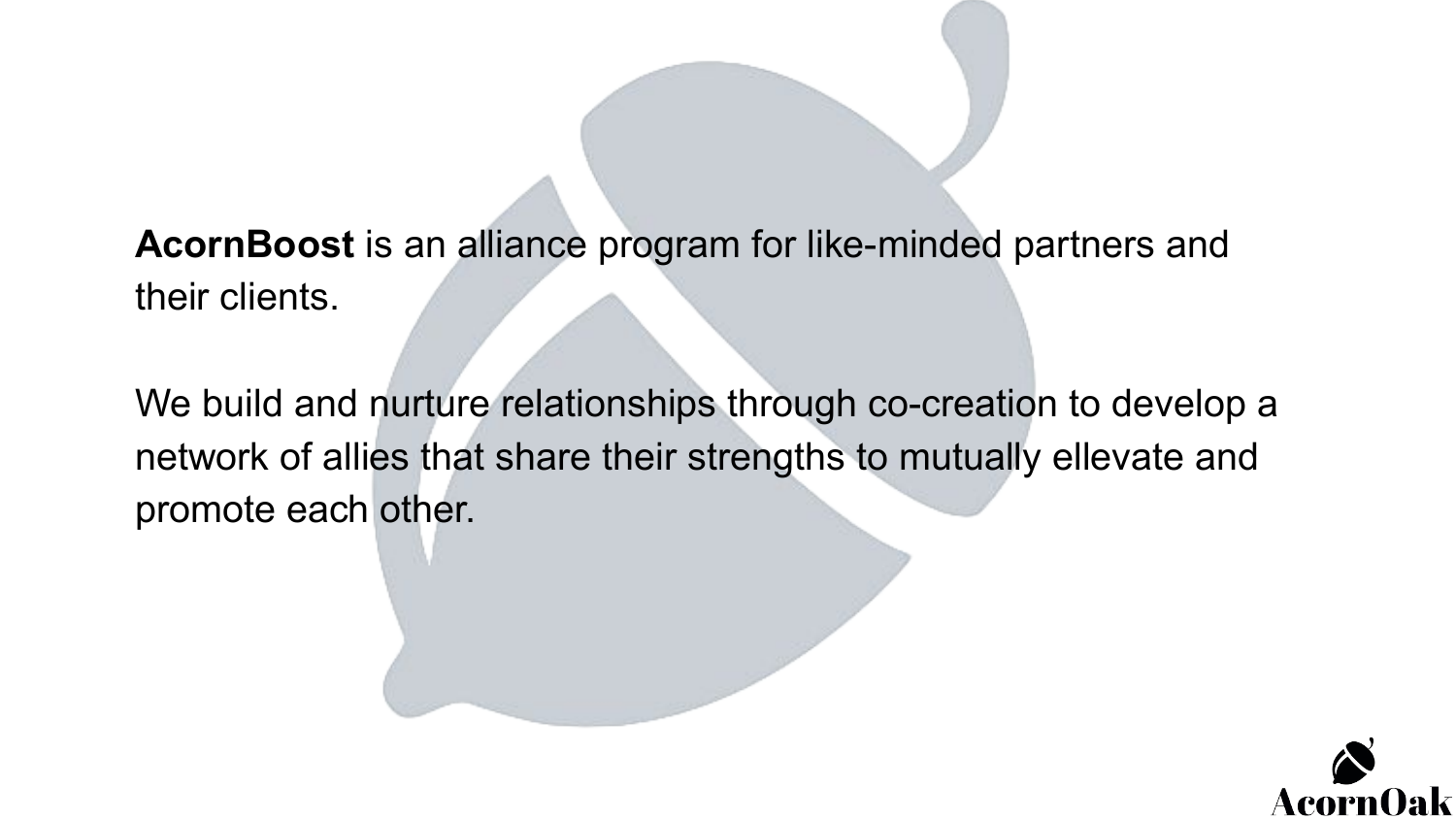#### **AcornBoost** is an alliance program for like-minded partners and their clients.

We build and nurture relationships through co-creation to develop a network of allies that share their strengths to mutually ellevate and promote each other.

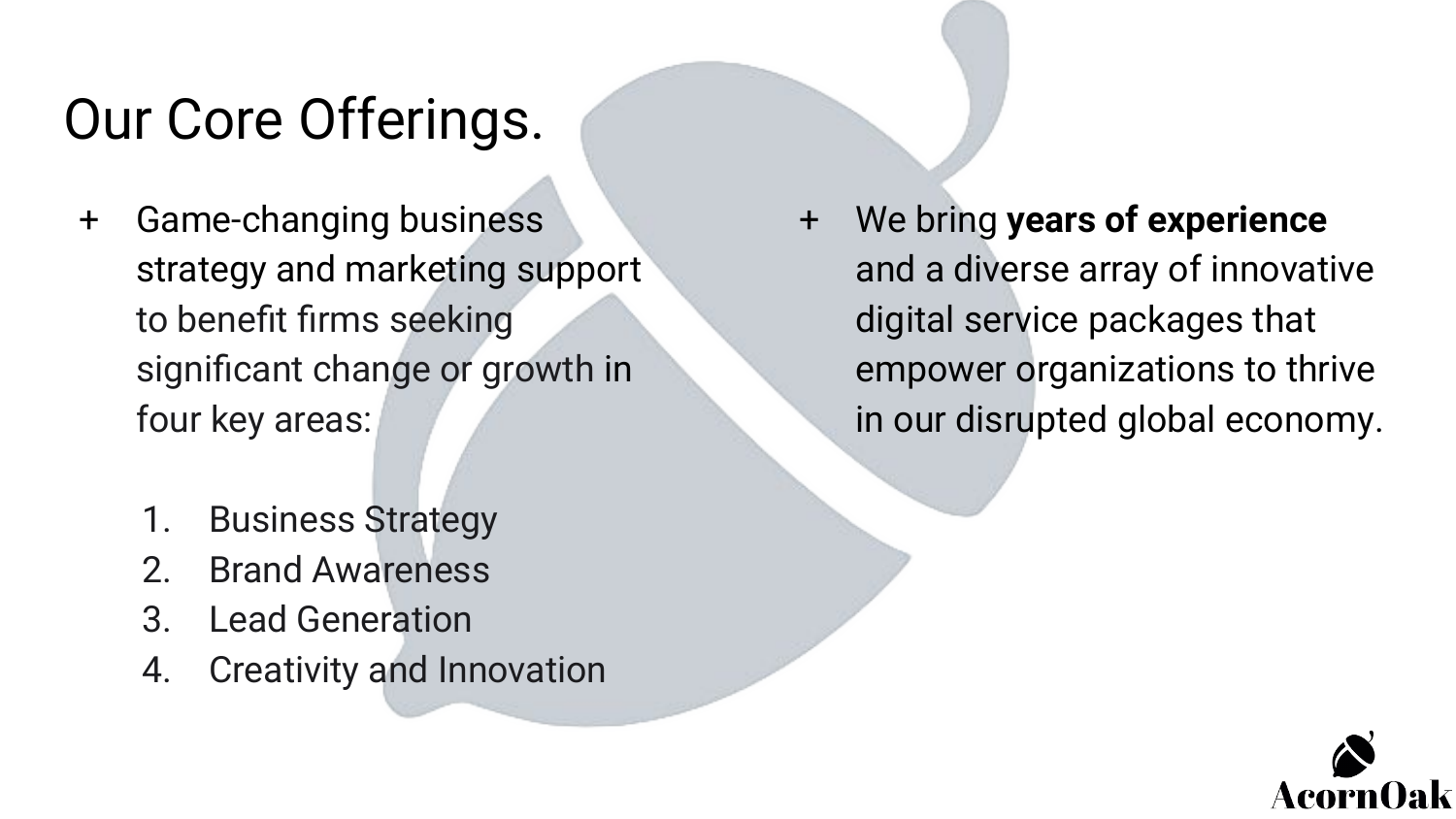## Our Core Offerings.

- + Game-changing business strategy and marketing support to benefit firms seeking significant change or growth in four key areas:
	- 1. Business Strategy
	- 2. Brand Awareness
	- 3. Lead Generation
	- 4. Creativity and Innovation

+ We bring **years of experience**  and a diverse array of innovative digital service packages that empower organizations to thrive in our disrupted global economy.

 $\overline{a}$ 

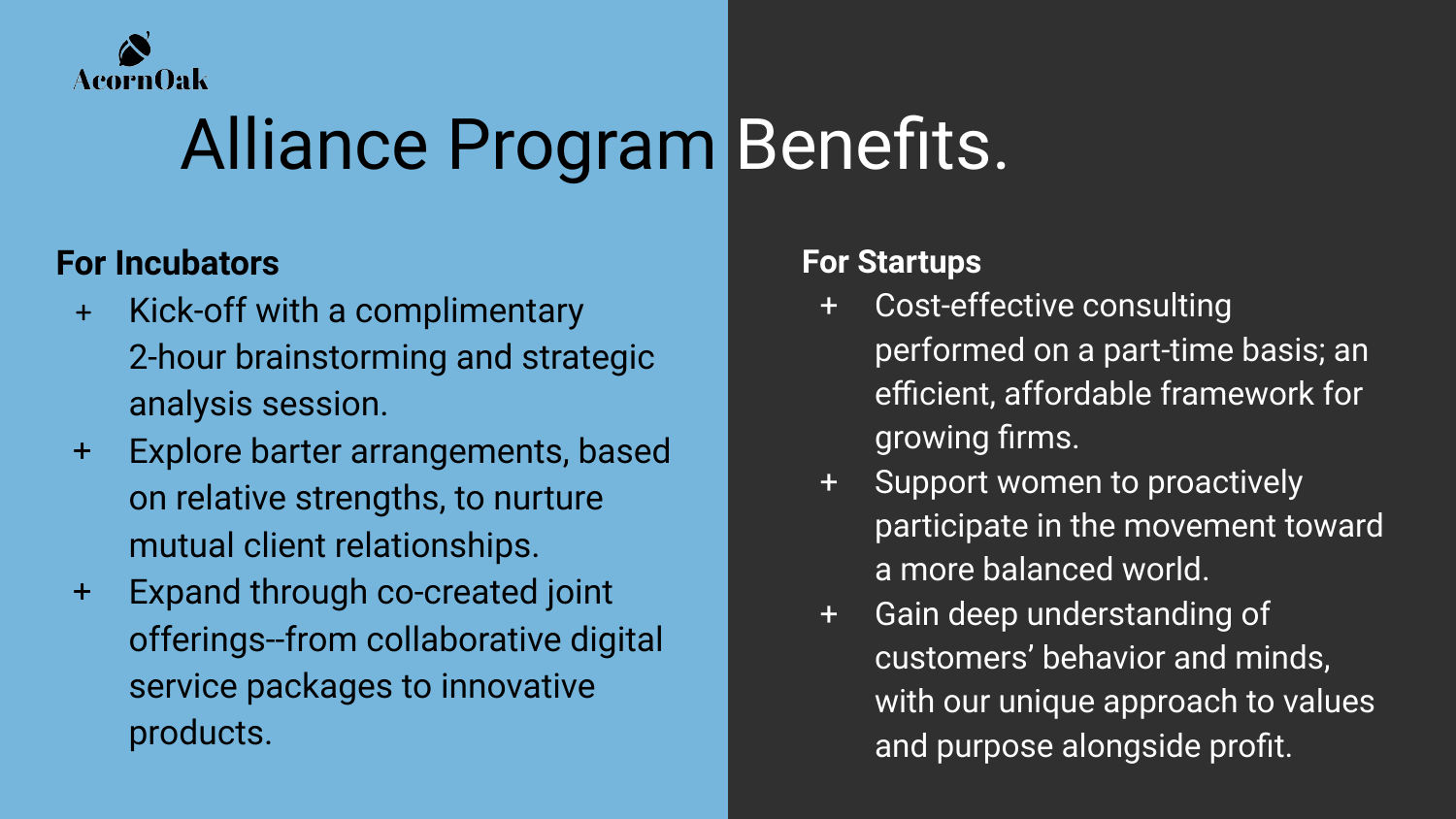

## Alliance Program Benefits.

#### **For Incubators**

- + Kick-off with a complimentary 2-hour brainstorming and strategic analysis session.
- + Explore barter arrangements, based on relative strengths, to nurture mutual client relationships.
- + Expand through co-created joint offerings--from collaborative digital service packages to innovative products.

#### **For Startups**

- + Cost-effective consulting performed on a part-time basis; an efficient, affordable framework for growing firms.
- + Support women to proactively participate in the movement toward a more balanced world.
- + Gain deep understanding of customers' behavior and minds, with our unique approach to values and purpose alongside profit.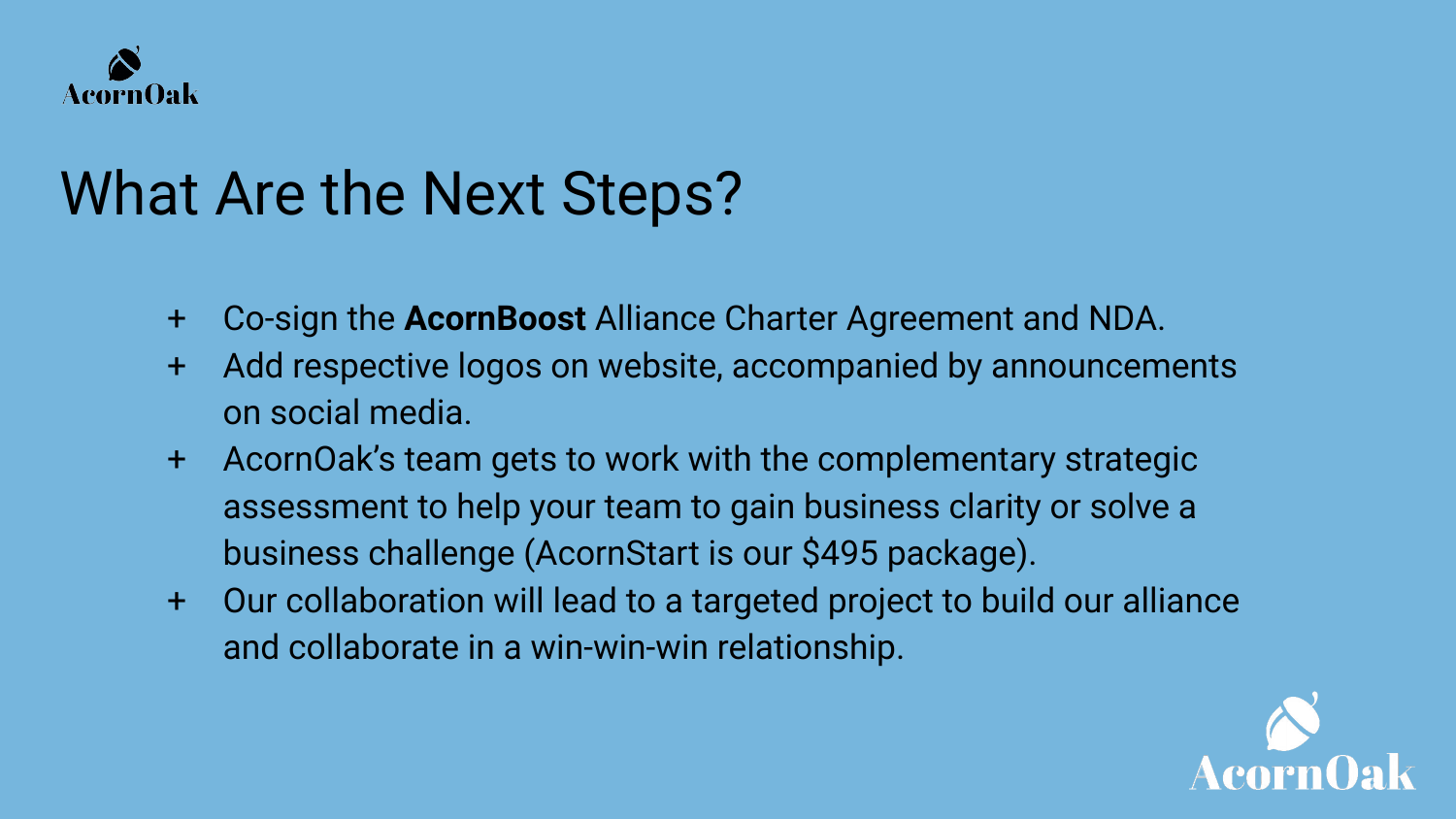

## What Are the Next Steps?

- + Co-sign the **AcornBoost** Alliance Charter Agreement and NDA.
- Add respective logos on website, accompanied by announcements on social media.
- + AcornOak's team gets to work with the complementary strategic assessment to help your team to gain business clarity or solve a business challenge (AcornStart is our \$495 package).
- + Our collaboration will lead to a targeted project to build our alliance and collaborate in a win-win-win relationship.

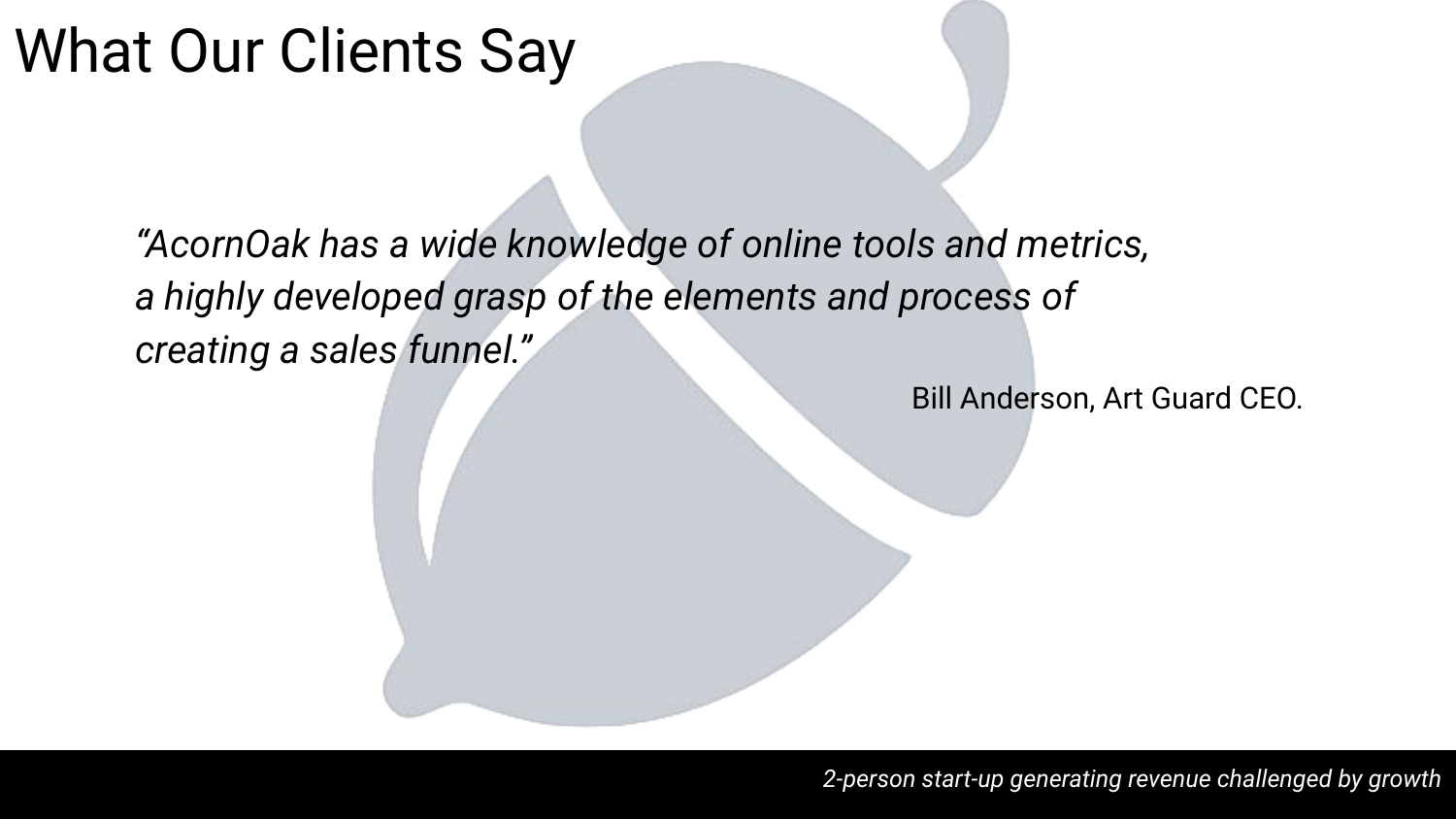## What Our Clients Say

*"AcornOak has a wide knowledge of online tools and metrics, a highly developed grasp of the elements and process of creating a sales funnel."* 

Bill Anderson, Art Guard CEO.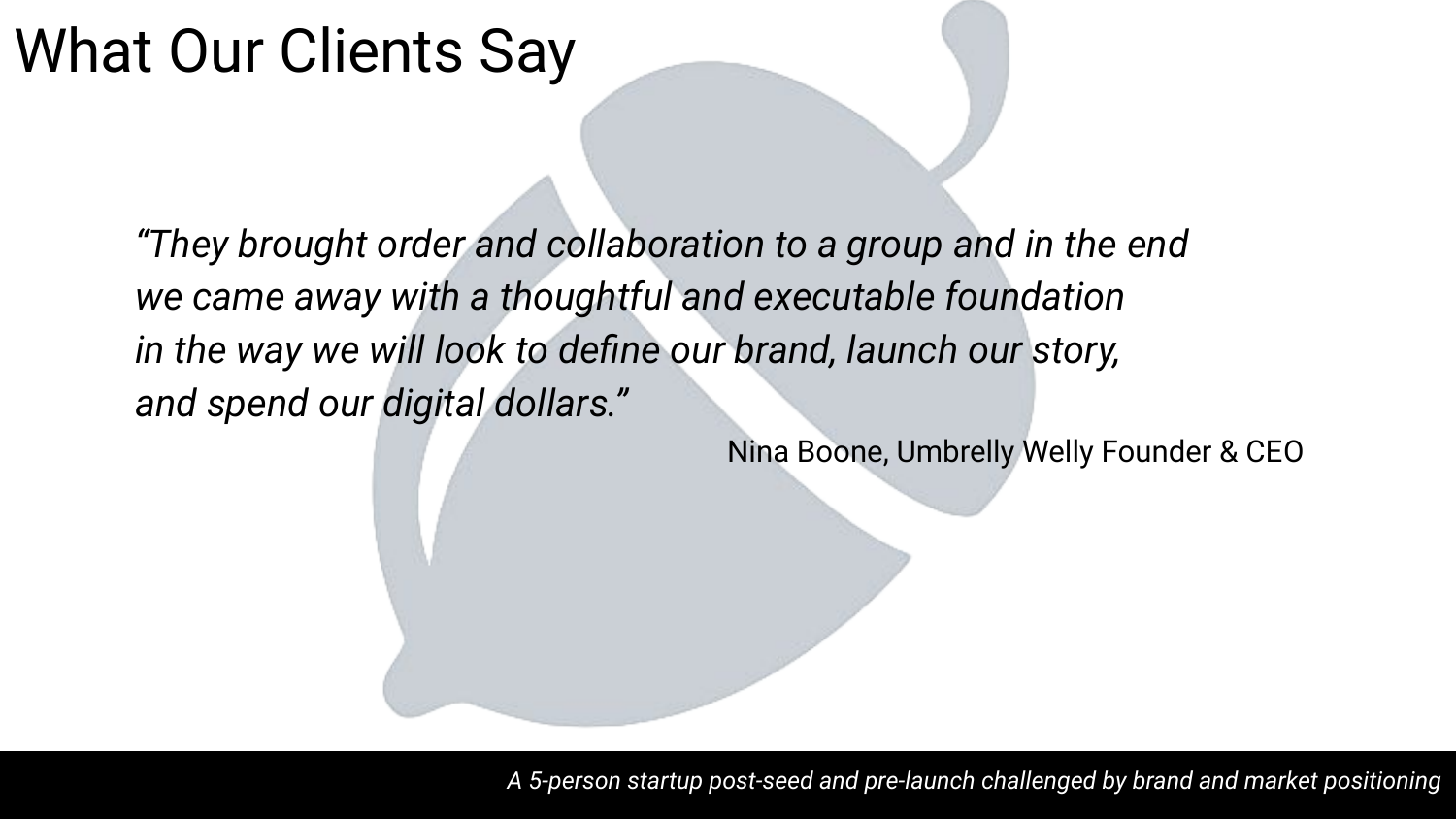## What Our Clients Say

*"They brought order and collaboration to a group and in the end we came away with a thoughtful and executable foundation in the way we will look to define our brand, launch our story, and spend our digital dollars."*

Nina Boone, Umbrelly Welly Founder & CEO

*A 5-person startup post-seed and pre-launch challenged by brand and market positioning*